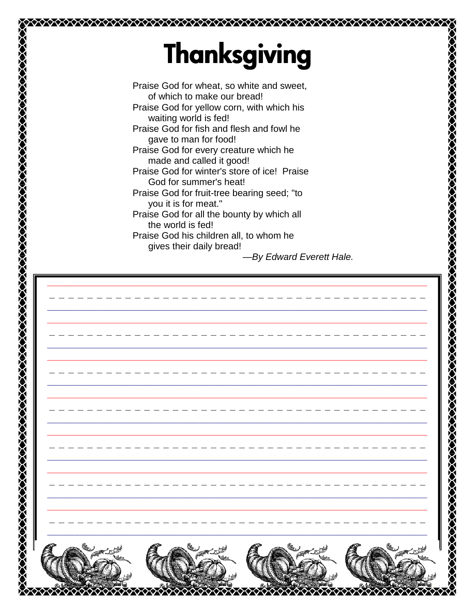## **Thanksgiving**

DOKXXXXXXXXXXXXXXXXXXXXXXXXXXXXXXXX

Praise God for wheat, so white and sweet, of which to make our bread! Praise God for yellow corn, with which his waiting world is fed! Praise God for fish and flesh and fowl he gave to man for food! Praise God for every creature which he made and called it good! Praise God for winter's store of ice! Praise God for summer's heat! Praise God for fruit-tree bearing seed; "to you it is for meat." Praise God for all the bounty by which all the world is fed! Praise God his children all, to whom he gives their daily bread!

-By Edward Everett Hale.

**FARACIONAL DE L'EST DE L'ANGER DE L'ANGER DE L'ANGER DE L'ANGER DE L'ANGER DE L'ANGER DE L'ANGER DE L'ANGER DE**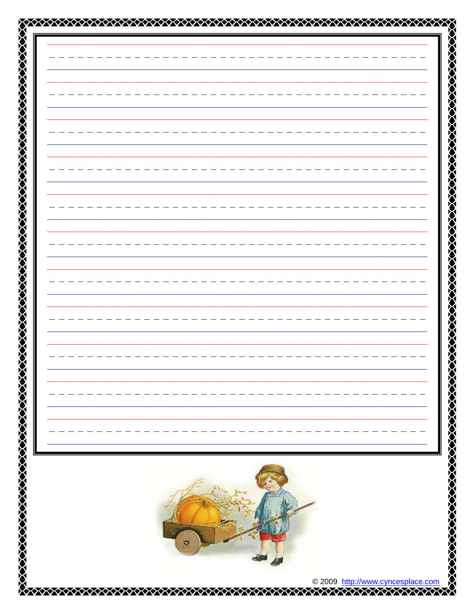|  |  | <b>ZAARAA AARAA AARAA AARAA AARAA AARAA AARAA AARAA AARAA AARAA AARAA AARAA AARAA AARAA AARAA AARAA AARAA AARAA A</b><br>AARAA AARAA AARAA AARAA AARAA AARAA AARAA AARAA AARAA AARAA AARAA AARAA AARAA AARAA AARAA AARAA AARAA AARAA A |
|--|--|----------------------------------------------------------------------------------------------------------------------------------------------------------------------------------------------------------------------------------------|
|  |  |                                                                                                                                                                                                                                        |
|  |  |                                                                                                                                                                                                                                        |
|  |  |                                                                                                                                                                                                                                        |
|  |  |                                                                                                                                                                                                                                        |
|  |  |                                                                                                                                                                                                                                        |
|  |  |                                                                                                                                                                                                                                        |
|  |  |                                                                                                                                                                                                                                        |
|  |  |                                                                                                                                                                                                                                        |
|  |  |                                                                                                                                                                                                                                        |
|  |  |                                                                                                                                                                                                                                        |
|  |  |                                                                                                                                                                                                                                        |
|  |  |                                                                                                                                                                                                                                        |
|  |  |                                                                                                                                                                                                                                        |
|  |  |                                                                                                                                                                                                                                        |
|  |  |                                                                                                                                                                                                                                        |
|  |  |                                                                                                                                                                                                                                        |
|  |  |                                                                                                                                                                                                                                        |
|  |  |                                                                                                                                                                                                                                        |
|  |  |                                                                                                                                                                                                                                        |
|  |  |                                                                                                                                                                                                                                        |
|  |  |                                                                                                                                                                                                                                        |
|  |  |                                                                                                                                                                                                                                        |
|  |  |                                                                                                                                                                                                                                        |
|  |  |                                                                                                                                                                                                                                        |
|  |  |                                                                                                                                                                                                                                        |
|  |  |                                                                                                                                                                                                                                        |
|  |  |                                                                                                                                                                                                                                        |
|  |  |                                                                                                                                                                                                                                        |
|  |  |                                                                                                                                                                                                                                        |
|  |  |                                                                                                                                                                                                                                        |
|  |  |                                                                                                                                                                                                                                        |
|  |  |                                                                                                                                                                                                                                        |
|  |  |                                                                                                                                                                                                                                        |
|  |  |                                                                                                                                                                                                                                        |